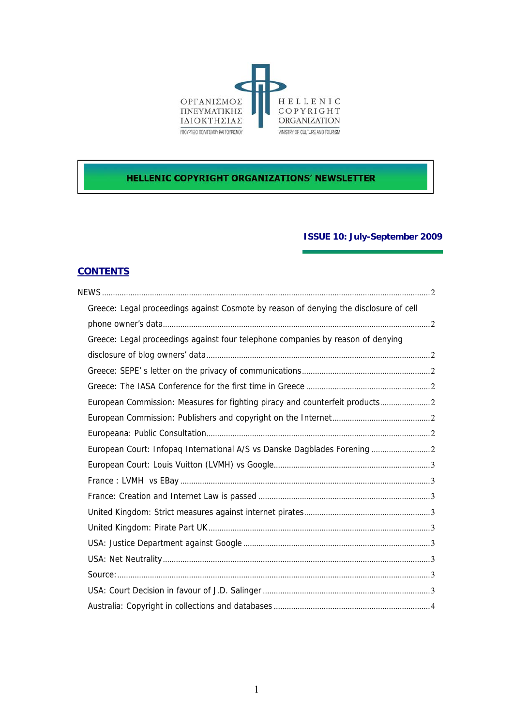

# **HELLENIC COPYRIGHT ORGANIZATIONS' NEWSLETTER**

## **ISSUE 10: July-September 2009**

# **CONTENTS**

| Greece: Legal proceedings against Cosmote by reason of denying the disclosure of cell |  |
|---------------------------------------------------------------------------------------|--|
|                                                                                       |  |
| Greece: Legal proceedings against four telephone companies by reason of denying       |  |
|                                                                                       |  |
|                                                                                       |  |
|                                                                                       |  |
| European Commission: Measures for fighting piracy and counterfeit products2           |  |
|                                                                                       |  |
|                                                                                       |  |
| European Court: Infopaq International A/S vs Danske Dagblades Forening                |  |
|                                                                                       |  |
|                                                                                       |  |
|                                                                                       |  |
|                                                                                       |  |
|                                                                                       |  |
|                                                                                       |  |
|                                                                                       |  |
|                                                                                       |  |
|                                                                                       |  |
|                                                                                       |  |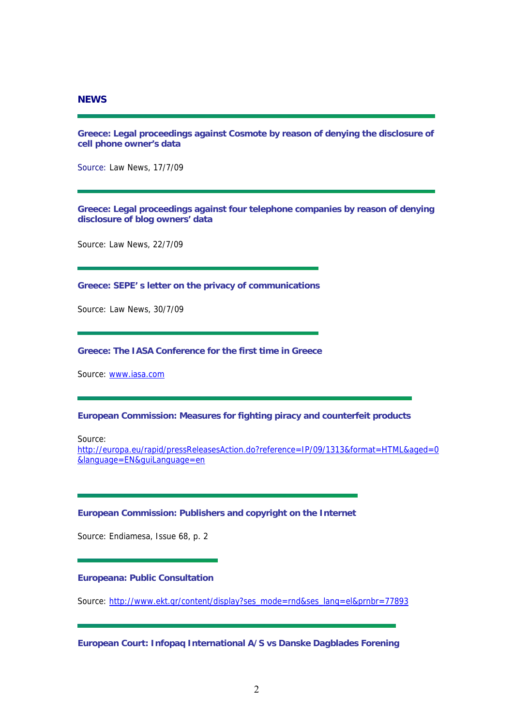## <span id="page-1-0"></span>**NEWS**

**Greece: Legal proceedings against Cosmote by reason of denying the disclosure of cell phone owner's data** 

Source: Law News, 17/7/09

**Greece: Legal proceedings against four telephone companies by reason of denying disclosure of blog owners' data** 

Source: Law News, 22/7/09

**Greece: SEPE' s letter on the privacy of communications** 

Source: Law News, 30/7/09

## **Greece: The IASA Conference for the first time in Greece**

Source: [www.iasa.com](http://www.iasa.com/)

#### **European Commission: Measures for fighting piracy and counterfeit products**

Source:

[http://europa.eu/rapid/pressReleasesAction.do?reference=IP/09/1313&format=HTML&aged=0](http://europa.eu/rapid/pressReleasesAction.do?reference=IP/09/1313&format=HTML&aged=0&language=EN&guiLanguage=en) [&language=EN&guiLanguage=en](http://europa.eu/rapid/pressReleasesAction.do?reference=IP/09/1313&format=HTML&aged=0&language=EN&guiLanguage=en)

#### **European Commission: Publishers and copyright on the Internet**

Source: Endiamesa, Issue 68, p. 2

#### **Europeana: Public Consultation**

Source: [http://www.ekt.gr/content/display?ses\\_mode=rnd&ses\\_lang=el&prnbr=77893](http://www.ekt.gr/content/display?ses_mode=rnd&ses_lang=el&prnbr=77893)

**European Court: Infopaq International A/S vs Danske Dagblades Forening**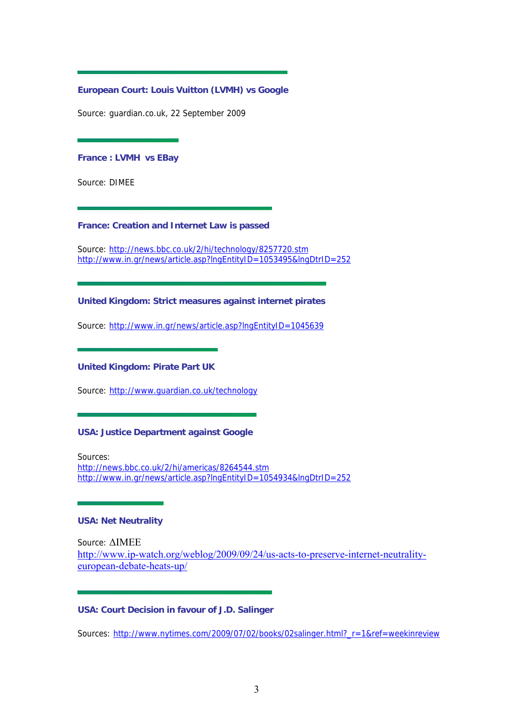## <span id="page-2-0"></span>**European Court: Louis Vuitton (LVMH) vs Google**

Source: guardian.co.uk, 22 September 2009

#### **France : LVMH vs EBay**

Source: DIMEE

### **France: Creation and Internet Law is passed**

Source: <http://news.bbc.co.uk/2/hi/technology/8257720.stm> <http://www.in.gr/news/article.asp?lngEntityID=1053495&lngDtrID=252>

## **United Kingdom: Strict measures against internet pirates**

Source: <http://www.in.gr/news/article.asp?lngEntityID=1045639>

#### **United Kingdom: Pirate Part UK**

Source: <http://www.guardian.co.uk/technology>

## **USA: Justice Department against Google**

Sources: <http://news.bbc.co.uk/2/hi/americas/8264544.stm> <http://www.in.gr/news/article.asp?lngEntityID=1054934&lngDtrID=252>

#### **USA: Net Neutrality**

Source: ΔΙΜΕΕ [http://www.ip-watch.org/weblog/2009/09/24/us-acts-to-preserve-internet-neutrality](http://www.ip-watch.org/weblog/2009/09/24/us-acts-to-preserve-internet-neutrality-european-debate-heats-up/)[european-debate-heats-up/](http://www.ip-watch.org/weblog/2009/09/24/us-acts-to-preserve-internet-neutrality-european-debate-heats-up/)

## **USA: Court Decision in favour of J.D. Salinger**

Sources: [http://www.nytimes.com/2009/07/02/books/02salinger.html?\\_r=1&ref=weekinreview](http://www.nytimes.com/2009/07/02/books/02salinger.html?_r=1&ref=weekinreview)